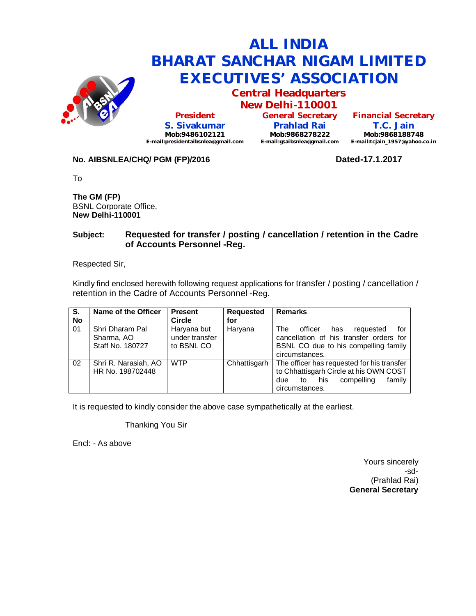

**Central Headquarters New Delhi-110001**

**President S. Sivakumar Mob:9486102121 E-mail:presidentaibsnlea@gmail.com**

**General Secretary Prahlad Rai Mob:9868278222 E-mail:gsaibsnlea@gmail.com**

**Financial Secretary T.C. Jain Mob:9868188748 E-mail:tcjain\_1957@yahoo.co.in**

### **No. AIBSNLEA/CHQ/ PGM (FP)/2016 Dated-17.1.2017**

To

**The GM (FP)** BSNL Corporate Office, **New Delhi-110001** 

### **Subject: Requested for transfer / posting / cancellation / retention in the Cadre of Accounts Personnel -Reg.**

Respected Sir,

Kindly find enclosed herewith following request applications for transfer / posting / cancellation / retention in the Cadre of Accounts Personnel -Reg.

| S.<br><b>No</b> | Name of the Officer                               | <b>Present</b><br><b>Circle</b>             | <b>Requested</b><br>for | <b>Remarks</b>                                                                                                                                     |
|-----------------|---------------------------------------------------|---------------------------------------------|-------------------------|----------------------------------------------------------------------------------------------------------------------------------------------------|
| 01              | Shri Dharam Pal<br>Sharma, AO<br>Staff No. 180727 | Haryana but<br>under transfer<br>to BSNL CO | Haryana                 | The<br>for<br>officer<br>has<br>requested<br>cancellation of his transfer orders for<br>BSNL CO due to his compelling family<br>circumstances.     |
| 02              | Shri R. Narasiah, AO<br>HR No. 198702448          | <b>WTP</b>                                  | Chhattisgarh            | The officer has requested for his transfer<br>to Chhattisgarh Circle at his OWN COST<br>his<br>compelling<br>family<br>due<br>to<br>circumstances. |

It is requested to kindly consider the above case sympathetically at the earliest.

Thanking You Sir

Encl: - As above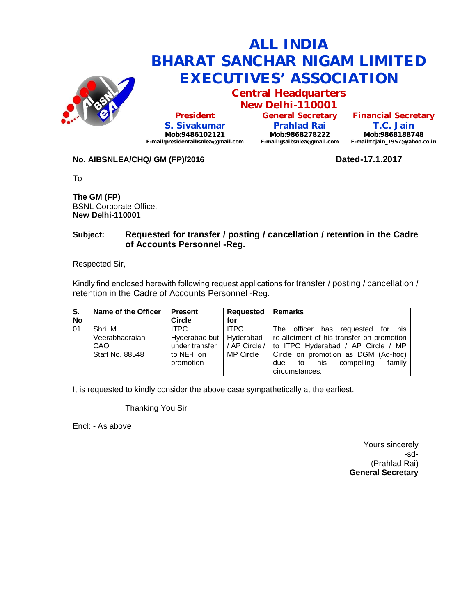

**Central Headquarters New Delhi-110001**

**President S. Sivakumar Mob:9486102121 E-mail:presidentaibsnlea@gmail.com**

**General Secretary Prahlad Rai Mob:9868278222 E-mail:gsaibsnlea@gmail.com**

**Financial Secretary T.C. Jain Mob:9868188748 E-mail:tcjain\_1957@yahoo.co.in**

### **No. AIBSNLEA/CHQ/ GM (FP)/2016 Dated-17.1.2017**

To

**The GM (FP)** BSNL Corporate Office, **New Delhi-110001** 

### **Subject: Requested for transfer / posting / cancellation / retention in the Cadre of Accounts Personnel -Reg.**

Respected Sir,

Kindly find enclosed herewith following request applications for transfer / posting / cancellation / retention in the Cadre of Accounts Personnel -Reg.

| S.        | Name of the Officer    | <b>Present</b> | <b>Requested</b> | <b>Remarks</b>                                |
|-----------|------------------------|----------------|------------------|-----------------------------------------------|
| <b>No</b> |                        | <b>Circle</b>  | for              |                                               |
| 01        | Shri M.                | <b>ITPC</b>    | <b>ITPC</b>      | his<br>officer has<br>The<br>requested<br>tor |
|           | Veerabhadraiah,        | Hyderabad but  | Hyderabad        | re-allotment of his transfer on promotion     |
|           | CAO                    | under transfer | / AP Circle /    | to ITPC Hyderabad / AP Circle / MP            |
|           | <b>Staff No. 88548</b> | to NE-II on    | MP Circle        | Circle on promotion as DGM (Ad-hoc)           |
|           |                        | promotion      |                  | family<br>compelling<br>his<br>due<br>to      |
|           |                        |                |                  | circumstances.                                |

It is requested to kindly consider the above case sympathetically at the earliest.

Thanking You Sir

Encl: - As above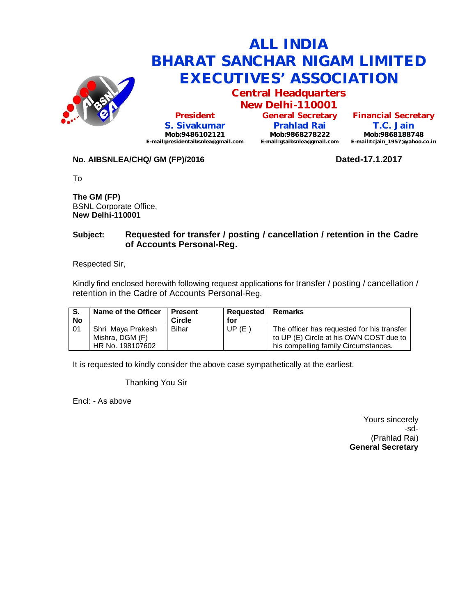

**Central Headquarters New Delhi-110001**

**President S. Sivakumar Mob:9486102121 E-mail:presidentaibsnlea@gmail.com**

**General Secretary Prahlad Rai Mob:9868278222 E-mail:gsaibsnlea@gmail.com E-mail:tcjain\_1957@yahoo.co.in**

**Financial Secretary T.C. Jain Mob:9868188748**

### **No. AIBSNLEA/CHQ/ GM (FP)/2016 Dated-17.1.2017**

To

**The GM (FP)** BSNL Corporate Office, **New Delhi-110001** 

#### **Subject: Requested for transfer / posting / cancellation / retention in the Cadre of Accounts Personal-Reg.**

Respected Sir,

Kindly find enclosed herewith following request applications for transfer / posting / cancellation / retention in the Cadre of Accounts Personal-Reg.

| S.<br>No | Name of the Officer | I Present<br><b>Circle</b> | <b>Requested</b><br>for | Remarks                                    |
|----------|---------------------|----------------------------|-------------------------|--------------------------------------------|
| -01      | Shri Maya Prakesh   | <b>Bihar</b>               | UP(E)                   | The officer has requested for his transfer |
|          | Mishra, DGM (F)     |                            |                         | to UP (E) Circle at his OWN COST due to    |
|          | HR No. 198107602    |                            |                         | his compelling family Circumstances.       |

It is requested to kindly consider the above case sympathetically at the earliest.

Thanking You Sir

Encl: - As above